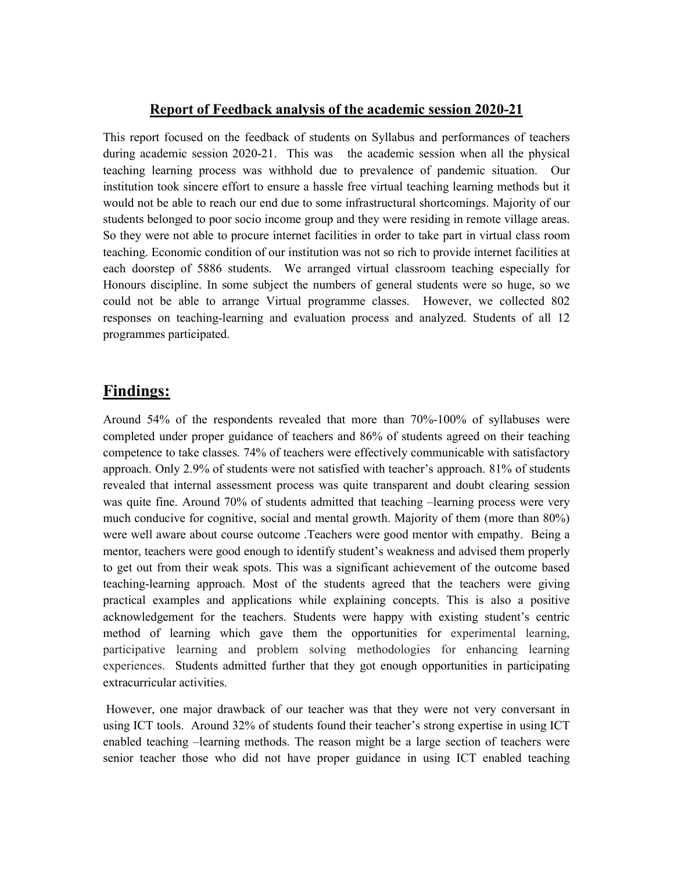## **Report of Feedback analysis of the academic session 2020-21**

This report focused on the feedback of students on Syllabus and performances of teachers during academic session 2020-21. This was the academic session when all the physical teaching learning process was withhold due to prevalence of pandemic situation. Our institution took sincere effort to ensure a hassle free virtual teaching learning methods but it would not be able to reach our end due to some infrastructural shortcomings. Majority of our students belonged to poor socio income group and they were residing in remote village areas. So they were not able to procure internet facilities in order to take part in virtual class room teaching. Economic condition of our institution was not so rich to provide internet facilities at each doorstep of 5886 students. We arranged virtual classroom teaching especially for Honours discipline. In some subject the numbers of general students were so huge, so we could not be able to arrange Virtual programme classes. However, we collected 802 responses on teaching-learning and evaluation process and analyzed. Students of all 12 programmes participated.

## **Findings:**

Around 54% of the respondents revealed that more than 70%-100% of syllabuses were completed under proper guidance of teachers and 86% of students agreed on their teaching competence to take classes. 74% of teachers were effectively communicable with satisfactory approach. Only 2.9% of students were not satisfied with teacher's approach. 81% of students revealed that internal assessment process was quite transparent and doubt clearing session was quite fine. Around 70% of students admitted that teaching –learning process were very much conducive for cognitive, social and mental growth. Majority of them (more than 80%) were well aware about course outcome .Teachers were good mentor with empathy. Being a mentor, teachers were good enough to identify student's weakness and advised them properly to get out from their weak spots. This was a significant achievement of the outcome based teaching-learning approach. Most of the students agreed that the teachers were giving practical examples and applications while explaining concepts. This is also a positive acknowledgement for the teachers. Students were happy with existing student's centric method of learning which gave them the opportunities for experimental learning, participative learning and problem solving methodologies for enhancing learning experiences. Students admitted further that they got enough opportunities in participating extracurricular activities.

However, one major drawback of our teacher was that they were not very conversant in using ICT tools. Around 32% of students found their teacher's strong expertise in using ICT enabled teaching –learning methods. The reason might be a large section of teachers were senior teacher those who did not have proper guidance in using ICT enabled teaching